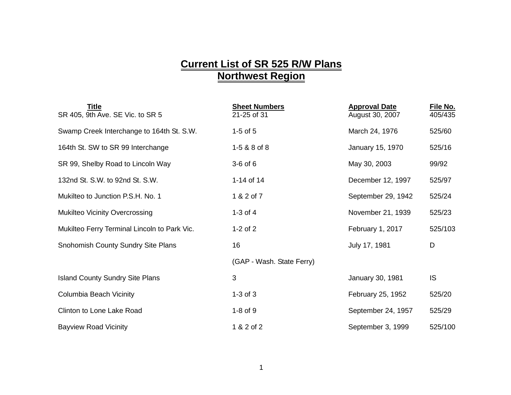## **Current List of SR 525 R/W Plans Northwest Region**

| <b>Title</b><br>SR 405, 9th Ave. SE Vic. to SR 5 | <b>Sheet Numbers</b><br>21-25 of 31 | <b>Approval Date</b><br>August 30, 2007 | File No.<br>405/435 |
|--------------------------------------------------|-------------------------------------|-----------------------------------------|---------------------|
| Swamp Creek Interchange to 164th St. S.W.        | $1-5$ of $5$                        | March 24, 1976                          | 525/60              |
| 164th St. SW to SR 99 Interchange                | 1-5 & 8 of 8                        | January 15, 1970                        | 525/16              |
| SR 99, Shelby Road to Lincoln Way                | $3-6$ of $6$                        | May 30, 2003                            | 99/92               |
| 132nd St. S.W. to 92nd St. S.W.                  | 1-14 of 14                          | December 12, 1997                       | 525/97              |
| Mukilteo to Junction P.S.H. No. 1                | 1 & 2 of 7                          | September 29, 1942                      | 525/24              |
| <b>Mukilteo Vicinity Overcrossing</b>            | $1-3$ of $4$                        | November 21, 1939                       | 525/23              |
| Mukilteo Ferry Terminal Lincoln to Park Vic.     | $1-2$ of $2$                        | February 1, 2017                        | 525/103             |
| Snohomish County Sundry Site Plans               | 16                                  | July 17, 1981                           | D                   |
|                                                  | (GAP - Wash. State Ferry)           |                                         |                     |
| <b>Island County Sundry Site Plans</b>           | 3                                   | January 30, 1981                        | <b>IS</b>           |
| Columbia Beach Vicinity                          | $1-3$ of $3$                        | February 25, 1952                       | 525/20              |
| Clinton to Lone Lake Road                        | $1-8$ of $9$                        | September 24, 1957                      | 525/29              |
| <b>Bayview Road Vicinity</b>                     | 1 & 2 of 2                          | September 3, 1999                       | 525/100             |